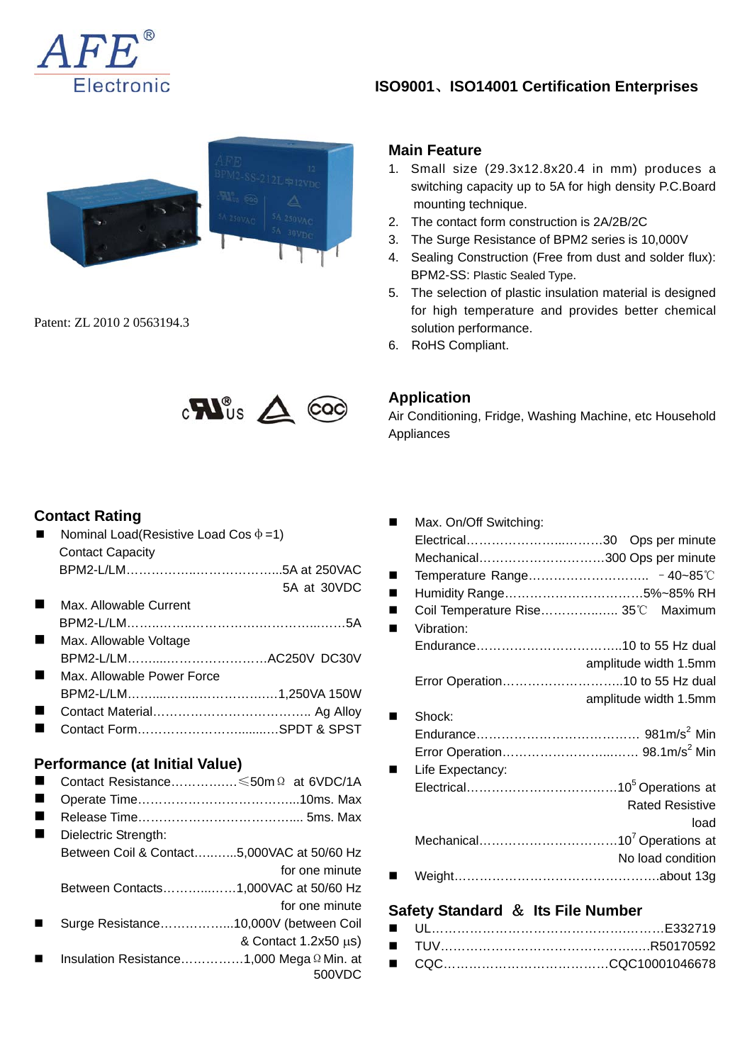

Patent: ZL 2010 2 0563194.3



### **Contact Rating**

| Nominal Load(Resistive Load Cos $\Phi$ =1)         |                            |
|----------------------------------------------------|----------------------------|
| <b>Contact Capacity</b>                            |                            |
|                                                    |                            |
|                                                    | 5A at 30VDC                |
| Max. Allowable Current                             |                            |
|                                                    |                            |
| Max. Allowable Voltage                             |                            |
|                                                    |                            |
| Max. Allowable Power Force                         |                            |
|                                                    |                            |
|                                                    |                            |
|                                                    |                            |
|                                                    |                            |
|                                                    |                            |
| Performance (at Initial Value)                     |                            |
| Contact Resistance $\leq 50$ m $\Omega$ at 6VDC/1A |                            |
|                                                    |                            |
|                                                    |                            |
| Dielectric Strength:                               |                            |
| Between Coil & Contact5,000VAC at 50/60 Hz         |                            |
|                                                    | for one minute             |
| Between Contacts1,000VAC at 50/60 Hz               |                            |
|                                                    | for one minute             |
|                                                    |                            |
| Surge Resistance10,000V (between Coil              |                            |
|                                                    | & Contact $1.2x50 \mu s$ ) |
| Insulation Resistance1,000 Mega Ω Min. at          |                            |
|                                                    | 500VDC                     |

# **ISO9001**、**ISO14001 Certification Enterprises**

#### **Main Feature**

- 1. Small size (29.3x12.8x20.4 in mm) produces a switching capacity up to 5A for high density P.C.Board mounting technique.
- 2. The contact form construction is 2A/2B/2C
- 3. The Surge Resistance of BPM2 series is 10,000V
- 4. Sealing Construction (Free from dust and solder flux): BPM2-SS: Plastic Sealed Type.
- 5. The selection of plastic insulation material is designed for high temperature and provides better chemical solution performance.

Air Conditioning, Fridge, Washing Machine, etc Household

6. RoHS Compliant.

**Application** 

Appliances

| Max. On/Off Switching:             |
|------------------------------------|
|                                    |
| Mechanical300 Ops per minute       |
|                                    |
| Humidity Range5%~85% RH            |
| Coil Temperature Rise 35°C Maximum |
| Vibration:                         |
|                                    |
| amplitude width 1.5mm              |
| Error Operation10 to 55 Hz dual    |
| amplitude width 1.5mm              |
| Shock:                             |
|                                    |
|                                    |
| Life Expectancy:                   |
|                                    |
| <b>Rated Resistive</b>             |
| load                               |
|                                    |
| No load condition                  |
|                                    |
|                                    |

# **Safety Standard** & **Its File Number**

| $\blacksquare$ |                |
|----------------|----------------|
|                |                |
| _              | 00010001010070 |

CQC…………………………………CQC10001046678